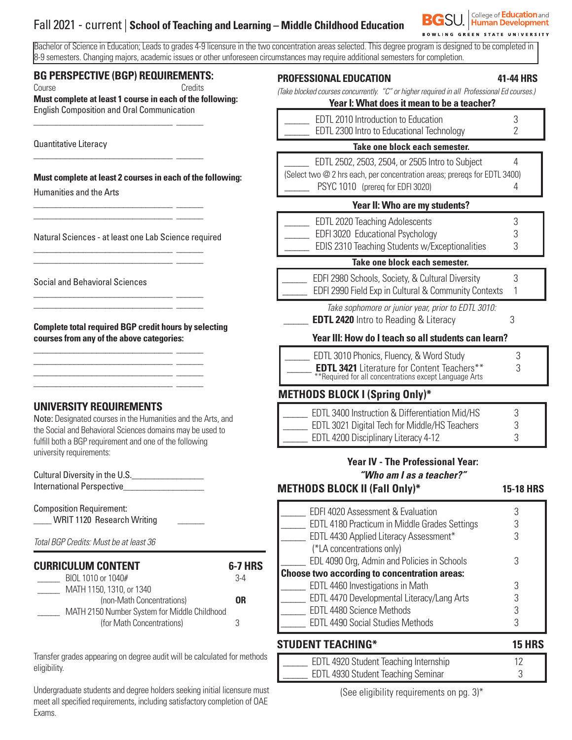# Fall 2021 - current | **School of Teaching and Learning – Middle Childhood Education**



Bachelor of Science in Education; Leads to grades 4-9 licensure in the two concentration areas selected. This degree program is designed to be completed in 8-9 semesters. Changing majors, academic issues or other unforeseen circumstances may require additional semesters for completion.

#### **BG PERSPECTIVE (BGP) REQUIREMENTS:**

\_\_\_\_\_\_\_\_\_\_\_\_\_\_\_\_\_\_\_\_\_\_\_\_\_\_\_\_\_\_\_ \_\_\_\_\_\_

\_\_\_\_\_\_\_\_\_\_\_\_\_\_\_\_\_\_\_\_\_\_\_\_\_\_\_\_\_\_\_ \_\_\_\_\_\_

\_\_\_\_\_\_\_\_\_\_\_\_\_\_\_\_\_\_\_\_\_\_\_\_\_\_\_\_\_\_\_ \_\_\_\_\_\_ \_\_\_\_\_\_\_\_\_\_\_\_\_\_\_\_\_\_\_\_\_\_\_\_\_\_\_\_\_\_\_ \_\_\_\_\_\_

\_\_\_\_\_\_\_\_\_\_\_\_\_\_\_\_\_\_\_\_\_\_\_\_\_\_\_\_\_\_\_ \_\_\_\_\_\_ \_\_\_\_\_\_\_\_\_\_\_\_\_\_\_\_\_\_\_\_\_\_\_\_\_\_\_\_\_\_\_ \_\_\_\_\_\_

\_\_\_\_\_\_\_\_\_\_\_\_\_\_\_\_\_\_\_\_\_\_\_\_\_\_\_\_\_\_\_ \_\_\_\_\_\_ \_\_\_\_\_\_\_\_\_\_\_\_\_\_\_\_\_\_\_\_\_\_\_\_\_\_\_\_\_\_\_ \_\_\_\_\_\_

\_\_\_\_\_\_\_\_\_\_\_\_\_\_\_\_\_\_\_\_\_\_\_\_\_\_\_\_\_\_\_ \_\_\_\_\_\_ \_\_\_\_\_\_\_\_\_\_\_\_\_\_\_\_\_\_\_\_\_\_\_\_\_\_\_\_\_\_\_ \_\_\_\_\_\_ \_\_\_\_\_\_\_\_\_\_\_\_\_\_\_\_\_\_\_\_\_\_\_\_\_\_\_\_\_\_\_ \_\_\_\_\_\_ \_\_\_\_\_\_\_\_\_\_\_\_\_\_\_\_\_\_\_\_\_\_\_\_\_\_\_\_\_\_\_ \_\_\_\_\_\_

Course Credits **Must complete at least 1 course in each of the following:**  English Composition and Oral Communication

Quantitative Literacy

**Must complete at least 2 courses in each of the following:**

Humanities and the Arts

Natural Sciences - at least one Lab Science required

Social and Behavioral Sciences

**Complete total required BGP credit hours by selecting courses from any of the above categories:**

# **UNIVERSITY REQUIREMENTS**

Note: Designated courses in the Humanities and the Arts, and the Social and Behavioral Sciences domains may be used to fulfill both a BGP requirement and one of the following university requirements:

| Cultural Diversity in the U.S. |  |
|--------------------------------|--|
| International Perspective      |  |

Composition Requirement: WRIT 1120 Research Writing

*Total BGP Credits: Must be at least 36*

| <b>CURRICULUM CONTENT</b>                    | <b>6-7 HRS</b> |
|----------------------------------------------|----------------|
| BIOL 1010 or 1040#                           | $3-4$          |
| MATH 1150, 1310, or 1340                     |                |
| (non-Math Concentrations)                    | 0R             |
| MATH 2150 Number System for Middle Childhood |                |
| (for Math Concentrations)                    |                |

Transfer grades appearing on degree audit will be calculated for methods eligibility.

Undergraduate students and degree holders seeking initial licensure must meet all specified requirements, including satisfactory completion of OAE Exams.

| <b>PROFESSIONAL EDUCATION</b> |  |  | 41-44 HRS |  |
|-------------------------------|--|--|-----------|--|
| $\sim$                        |  |  |           |  |

*(Take blocked courses concurrently. "C" or higher required in all Professional Ed courses.)*

# **Year I: What does it mean to be a teacher?**

| EDTL 2010 Introduction to Education       |  |
|-------------------------------------------|--|
| EDTL 2300 Intro to Educational Technology |  |

#### **Take one block each semester.**

 \_\_\_\_\_ EDTL 2502, 2503, 2504, or 2505 Intro to Subject 4 (Select two @ 2 hrs each, per concentration areas; prereqs for EDTL 3400) PSYC 1010 (prereq for EDFI 3020)

#### **Year II: Who are my students?**

| <b>EDTL 2020 Teaching Adolescents</b>          |  |
|------------------------------------------------|--|
| EDFI 3020 Educational Psychology               |  |
| EDIS 2310 Teaching Students w/Exceptionalities |  |
|                                                |  |

#### **Take one block each semester.**

| EDFI 2980 Schools, Society, & Cultural Diversity     |  |
|------------------------------------------------------|--|
| EDFI 2990 Field Exp in Cultural & Community Contexts |  |

*Take sophomore or junior year, prior to EDTL 3010:*  **EDTL 2420** Intro to Reading & Literacy 3

### **Year III: How do I teach so all students can learn?**

| EDTL 3010 Phonics, Fluency, & Word Study                                                                     |  |
|--------------------------------------------------------------------------------------------------------------|--|
| <b>EDTL 3421</b> Literature for Content Teachers**<br>**Required for all concentrations except Language Arts |  |

# **METHODS BLOCK I (Spring Only)\***

| EDTL 3400 Instruction & Differentiation Mid/HS |  |
|------------------------------------------------|--|
| EDTL 3021 Digital Tech for Middle/HS Teachers  |  |
| EDTL 4200 Disciplinary Literacy 4-12           |  |

# **Year IV - The Professional Year:** *"Who am I as a teacher?"*

**METHODS BLOCK II (Fall Only)\* 15-18 HRS**

| EDTL 4470 Developmental Literacy/Lang Arts<br><b>EDTL 4480 Science Methods</b><br><b>EDTL 4490 Social Studies Methods</b> |  |
|---------------------------------------------------------------------------------------------------------------------------|--|
|                                                                                                                           |  |
|                                                                                                                           |  |
|                                                                                                                           |  |
| EDTL 4460 Investigations in Math                                                                                          |  |
| <b>Choose two according to concentration areas:</b>                                                                       |  |
| EDL 4090 Org, Admin and Policies in Schools                                                                               |  |
| (*LA concentrations only)                                                                                                 |  |
| EDTL 4430 Applied Literacy Assessment*                                                                                    |  |
| EDTL 4180 Practicum in Middle Grades Settings                                                                             |  |
| EDFI 4020 Assessment & Evaluation                                                                                         |  |

| EDTL 4920 Student Teaching Internship |  |
|---------------------------------------|--|
| EDTL 4930 Student Teaching Seminar    |  |
|                                       |  |

(See eligibility requirements on pg. 3)\*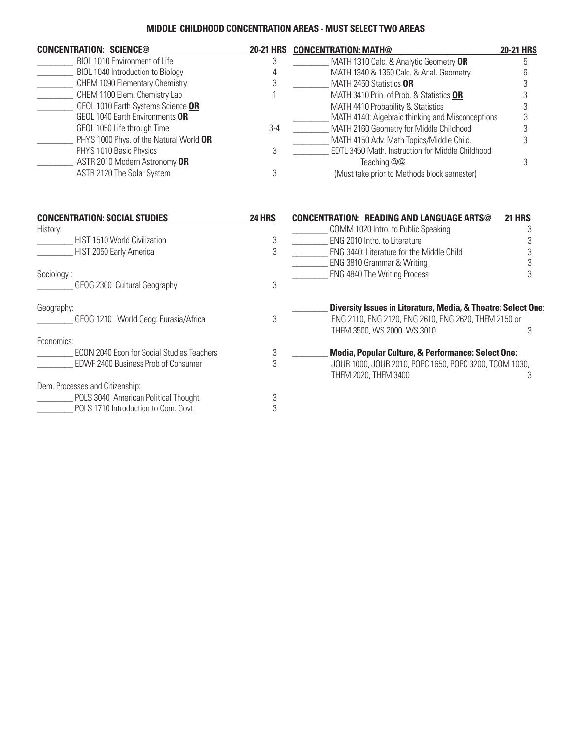#### **MIDDLE CHILDHOOD CONCENTRATION AREAS - MUST SELECT TWO AREAS**

| <b>CONCENTRATION: SCIENCE@</b>                    | <b>20-21 HRS</b> | <b>CONCENTRATION: MATH@</b>                                                         | <b>20-21 HRS</b> |
|---------------------------------------------------|------------------|-------------------------------------------------------------------------------------|------------------|
| BIOL 1010 Environment of Life                     | 3                | MATH 1310 Calc. & Analytic Geometry OR                                              | 5                |
| BIOL 1040 Introduction to Biology                 | 4                | MATH 1340 & 1350 Calc. & Anal. Geometry                                             | 6                |
| CHEM 1090 Elementary Chemistry                    | 3                | MATH 2450 Statistics OR                                                             | 3                |
| CHEM 1100 Elem. Chemistry Lab                     |                  | MATH 3410 Prin. of Prob. & Statistics OR                                            | 3                |
| GEOL 1010 Earth Systems Science OR                |                  | MATH 4410 Probability & Statistics                                                  | 3                |
| GEOL 1040 Earth Environments OR                   |                  | MATH 4140: Algebraic thinking and Misconceptions                                    | 3                |
| GEOL 1050 Life through Time                       | $3-4$            | MATH 2160 Geometry for Middle Childhood                                             | 3                |
| PHYS 1000 Phys. of the Natural World OR           |                  | MATH 4150 Adv. Math Topics/Middle Child.                                            |                  |
| PHYS 1010 Basic Physics                           | 3                | EDTL 3450 Math. Instruction for Middle Childhood                                    |                  |
| ASTR 2010 Modern Astronomy OR                     |                  | Teaching @@                                                                         | 3                |
| ASTR 2120 The Solar System                        | 3                | (Must take prior to Methods block semester)                                         |                  |
| <b>CONCENTRATION: SOCIAL STUDIES</b>              | <b>24 HRS</b>    | <b>CONCENTRATION: READING AND LANGUAGE ARTS@</b>                                    | <b>21 HRS</b>    |
| History:                                          |                  | COMM 1020 Intro. to Public Speaking                                                 | 3                |
| HIST 1510 World Civilization                      | 3                | ENG 2010 Intro. to Literature                                                       | 3                |
| HIST 2050 Early America                           | 3                | ENG 3440: Literature for the Middle Child                                           | 3                |
|                                                   |                  | ENG 3810 Grammar & Writing                                                          | 3                |
| Sociology:                                        |                  | <b>ENG 4840 The Writing Process</b>                                                 | 3                |
| GEOG 2300 Cultural Geography                      | 3                |                                                                                     |                  |
| Geography:                                        |                  | Diversity Issues in Literature, Media, & Theatre: Select One:                       |                  |
| GEOG 1210 World Geog: Eurasia/Africa              | 3                | ENG 2110, ENG 2120, ENG 2610, ENG 2620, THFM 2150 or<br>THFM 3500, WS 2000, WS 3010 | 3                |
| Economics:                                        |                  |                                                                                     |                  |
| <b>ECON 2040 Econ for Social Studies Teachers</b> | 3                | Media, Popular Culture, & Performance: Select One:                                  |                  |
| EDWF 2400 Business Prob of Consumer               | 3                | JOUR 1000, JOUR 2010, POPC 1650, POPC 3200, TCOM 1030,<br>THFM 2020, THFM 3400      | 3                |
| Dem. Processes and Citizenship:                   |                  |                                                                                     |                  |
| POLS 3040 American Political Thought              | 3                |                                                                                     |                  |
| POLS 1710 Introduction to Com. Govt.              | 3                |                                                                                     |                  |